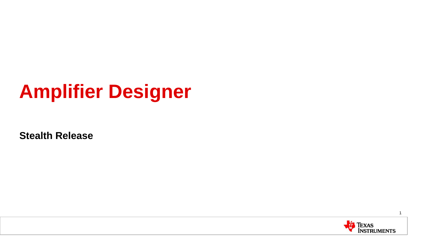# **Amplifier Designer**

**Stealth Release**

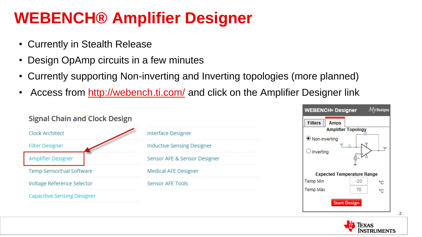- Currently in Stealth Release
- Design OpAmp circuits in a few minutes
- Currently supporting Non-inverting and Inverting topologies (more planned)
- Access from<http://webench.ti.com/> and click on the Amplifier Designer link

|                                   | $M\nu$ Designs<br><b>WEBENCH<sup>®</sup> Designer</b> |
|-----------------------------------|-------------------------------------------------------|
|                                   | <b>Filters</b><br>Amps                                |
| <b>Interface Designer</b>         | <b>Amplifier Topology</b>                             |
| <b>Inductive Sensing Designer</b> | ● Non-inverting<br>t s                                |
| Sensor AFE & Sensor Designer      | $\bigcirc$ Inverting<br>5…                            |
| <b>Medical AFE Designer</b>       | <b>Expected Temperature Range</b>                     |
| <b>Sensor AFE Tools</b>           | $-20$<br>Temp Min<br>°С                               |
|                                   | 70<br><b>Temp Max</b><br>°С<br><b>Start Design</b>    |
|                                   | <b>Signal Chain and Clock Design</b>                  |



 $Mv$  Decian

 $\mathcal{D}$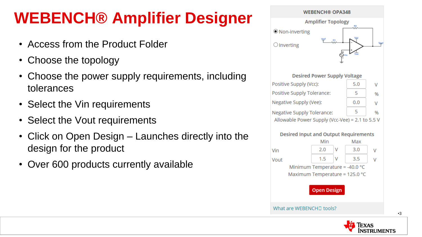- Access from the Product Folder
- Choose the topology
- Choose the power supply requirements, including tolerances
- Select the Vin requirements
- Select the Vout requirements
- Click on Open Design Launches directly into the design for the product
- Over 600 products currently available





TRUMENTS

•3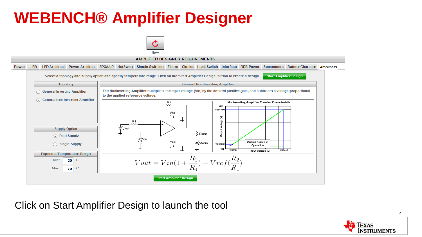



Click on Start Amplifier Design to launch the tool

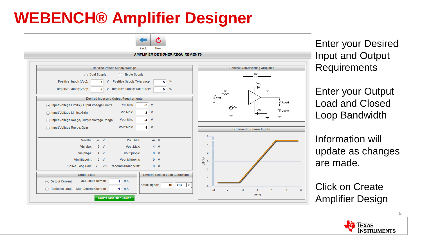

Enter your Desired Input and Output **Requirements** 

Enter your Output Load and Closed Loop Bandwidth

Information will update as changes are made.

Click on Create Amplifier Design

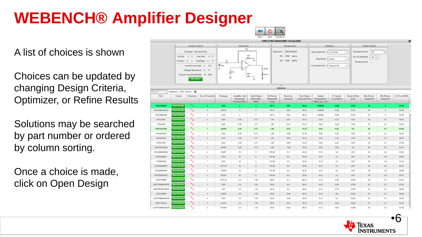A list of choices is shown

Choices can be updated by changing Design Criteria, Optimizer, or Refine Results

Solutions may be searched by part number or ordered by column sorting.

Once a choice is made, click on Open Design



| Search            | Solutions: (258 found) |                   |                          |               |                                                     |                                           |                                         |                      |                                      |                                          |                                 |                              |                                |                                |                |  |
|-------------------|------------------------|-------------------|--------------------------|---------------|-----------------------------------------------------|-------------------------------------------|-----------------------------------------|----------------------|--------------------------------------|------------------------------------------|---------------------------------|------------------------------|--------------------------------|--------------------------------|----------------|--|
| Part              | Create                 | <b>Simulation</b> | <b>No. of Channels</b>   | Package       | <b>Amplifier Gain</b><br>Bandwidth<br>Product (MHz) | <b>Small Signal</b><br>Bandwidth<br>(MHz) | <b>Full Power</b><br>Bandwidth<br>(kHz) | Precision<br>(mVrms) | <b>Total Output</b><br>Noise (uVrms) | Output<br>Temperature<br>Delta (typ, mV) | <b>IC Supply</b><br>Current(mA) | <b>Output Offset</b><br>(mV) | <b>Max Power</b><br>Supply (V) | <b>Min Power</b><br>Supply (V) | 1k Price (USD) |  |
| <b>OPA2188AID</b> | <b>Open Design</b>     | $\wedge$          | $\overline{2}$           | SOIC:         | $\overline{2}$                                      | $\blacktriangleleft$                      | 12.73                                   | 0.05                 | 29.55                                | 0.00539                                  | 0.385                           | 0.012                        | 36                             | $\overline{4}$                 | \$1.70         |  |
| OPA2188AIDGKT     | <b>Open Design</b>     | $\sim$            | $\overline{2}$           | <b>MSOP</b>   | $\overline{2}$                                      | $\overline{1}$                            | 12.73                                   | 0.05                 | 29.55                                | 0.00539                                  | 0.385                           | 0.012                        | 36                             | $\overline{4}$                 | \$1.65         |  |
| OPA2188AIDR       | <b>Open Design</b>     | $\gamma$          | $\overline{2}$           | <b>SOIC</b>   | $\overline{2}$                                      | $\blacktriangleleft$                      | 12.73                                   | 0.05                 | 29.55                                | 0.00539                                  | 0.385                           | 0.012                        | 36                             | $\overline{4}$                 | \$1.40         |  |
| <b>OPA2234U</b>   | <b>Open Design</b>     | $\sim$            | $\overline{2}$           | <b>SOIC</b>   | 0.35                                                | 0.17                                      | 3.18                                    | 0.43                 | 27.54                                | 0.09                                     | 0.25                            | 0.08                         | 36                             | 2.7                            | \$3.02         |  |
| <b>OPA234U</b>    | <b>Open Design</b>     | $\Delta$          | и.                       | <b>SOIC</b>   | 0.35                                                | 0.17                                      | 3.18                                    | 0.43                 | 27.54                                | 0.09                                     | 0.25                            | 0.08                         | 36                             | 2.7                            | \$1.91         |  |
| OPA234E/250       | <b>Open Design</b>     | $\sim$            | $\blacksquare$           | <b>MSOP</b>   | 0.35                                                | 0.17                                      | 3.18                                    | 0.53                 | 27.54                                | 0.09                                     | 0.25                            | 0.2                          | 36                             | 2.7                            | \$1.85         |  |
| <b>OPA2234UA</b>  | <b>Open Design</b>     | $\Delta$          | $\overline{2}$           | <b>SOIC</b>   | 0.35                                                | 0.17                                      | 3.18                                    | 0.89                 | 27.54                                | 0.09                                     | 0.25                            | 0.08                         | 36                             | 2.7                            | \$2.52         |  |
| <b>OPA4234UA</b>  | <b>Open Design</b>     | $\sim$            | $\overline{4}$           | <b>SOIC</b>   | 0.35                                                | 0.17                                      | 3.18                                    | 0.89                 | 27.54                                | 0.09                                     | 0.25                            | 0.08                         | 36                             | 2.7                            | \$4,64         |  |
| OPA234UA          | <b>Open Design</b>     | $\mathcal{N}$     | 1                        | <b>SOIC</b>   | 0.35                                                | 0.17                                      | 3.18                                    | 0.89                 | 27.54                                | 0.09                                     | 0.25                            | 0.08                         | 36                             | 2.7                            | \$1.40         |  |
| OPA234EA/250      | <b>Open Design</b>     | $\sim$            | $\blacktriangleleft$     | <b>MSOP</b>   | 0.35                                                | 0.17                                      | 3.18                                    | 1.09                 | 27.54                                | 0.09                                     | 0.25                            | 0.2                          | 36                             | 2.7                            | \$1.34         |  |
| OPA2209AIDGKT     | <b>Open Design</b>     | $\gamma$          | $\overline{2}$           | <b>MSOP</b>   | 18                                                  | $\overline{9}$                            | 101.85                                  | 0.3                  | 23.48                                | 0.18                                     | 2.2                             | 0.07                         | 36                             | 4.5                            | \$1.90         |  |
| <b>OPA2209AID</b> | <b>Open Design</b>     | $\sim$            | $\overline{2}$           | <b>SOIC</b>   | 18                                                  | 9                                         | 101.85                                  | 0.3                  | 23.48                                | 0.18                                     | 2.2                             | 0.07                         | 36                             | 4.5                            | \$2.00         |  |
| OPA209AID         | <b>Open Design</b>     | $\sim$            | $\overline{\phantom{a}}$ | <b>SOIC</b>   | 18                                                  | 9                                         | 101.85                                  | 0.3                  | 23.48                                | 0.18                                     | 2.2                             | 0.07                         | 36                             | 4.5                            | \$1.32         |  |
| OPA209AIDBVT      | <b>Open Design</b>     | $\sim$            | $\blacktriangleleft$     | <b>SOT-23</b> | 18                                                  | 9                                         | 101.85                                  | 0.3                  | 23,48                                | 0.18                                     | 2.2                             | 0.07                         | 36                             | 4.5                            | \$1,27         |  |
| OPA4209AIPW       | <b>Open Design</b>     | $\Delta$          | $\overline{4}$           | <b>TSSOP</b>  | 18                                                  | 9                                         | 101.85                                  | 0.3                  | 23,48                                | 0.18                                     | 2.2                             | 0.07                         | 36                             | 4.5                            | \$3.50         |  |
| OPA209AIDGKT      | <b>Open Design</b>     | $\sim$            | $\blacktriangleleft$     | <b>MSOP</b>   | 18                                                  | 9                                         | 101.85                                  | 0.3                  | 23,48                                | 0.18                                     | 2.2                             | 0.07                         | 36                             | 4.5                            | \$1,27         |  |
| <b>LMP7701MF</b>  | <b>Open Design</b>     | $\sim$            | и.                       | <b>SOT-23</b> | 2.5                                                 | 1.25                                      | 15.91                                   | 0.4                  | 26.47                                | 0.18                                     | 0.79                            | 0.074                        | 12                             | 2.7                            | \$1.40         |  |
| LMP7701MA/NOPB    | <b>Open Design</b>     | $\wedge$          | $\mathbf{1}$             | SOIC:         | 2.5                                                 | 1.25                                      | 15.91                                   | 0.4                  | 26.47                                | 0.18                                     | 0.79                            | 0.074                        | 12                             | 2.7                            | \$1.34         |  |
| LMP7701MF/NOPB    | <b>Open Design</b>     | $\wedge$          | $\overline{\phantom{a}}$ | SOT           | 2.5                                                 | 1.25                                      | 15.91                                   | 0.4                  | 26.47                                | 0.18                                     | 0.79                            | 0.074                        | 12                             | 2.7                            | \$0.99         |  |
| <b>LMP7704MT</b>  | <b>Open Design</b>     | $\sim$            | $\overline{4}$           | <b>TSSOP</b>  | 2.5                                                 | 1.25                                      | 15.91                                   | 0.44                 | 26.47                                | 0.18                                     | 0.8                             | 0.074                        | 12                             | 2.7                            | \$2.88         |  |
| LMP7704MA/NOPB    | <b>Open Design</b>     | $\sim$            | 4                        | <b>SOIC</b>   | 2.5                                                 | 1.25                                      | 15.91                                   | 0.44                 | 26.47                                | 0.18                                     | 0.8                             | 0.074                        | 12                             | 2.7                            | \$2.10         |  |
| <b>LMP7702MM</b>  | <b>Open Design</b>     | $\sim$            | $\overline{2}$           | <b>MSOP</b>   | 2.5                                                 | 1.25                                      | 15.91                                   | 0.44                 | 26.47                                | 0.18                                     | 0.85                            | 0.064                        | 12 <sup>°</sup>                | 2.7                            | \$1.84         |  |
| LASP7702MM/MODR   | Onen Design            | $\wedge$ .        | $\overline{2}$           | <b>VESOD</b>  | 2.5                                                 | 4.25                                      | 45.94                                   | 0A4                  | 26.47                                | 0.48                                     | 0.85                            | 0.064                        | 42.                            | 27                             | \$4.30         |  |

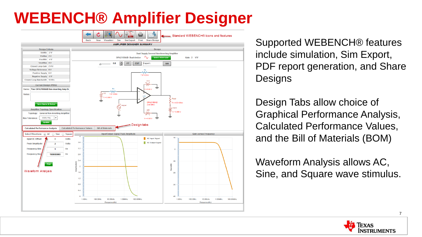

Supported WEBENCH® features include simulation, Sim Export, PDF report generation, and Share **Designs** 

Design Tabs allow choice of Graphical Performance Analysis, Calculated Performance Values, and the Bill of Materials (BOM)

Waveform Analysis allows AC, Sine, and Square wave stimulus.

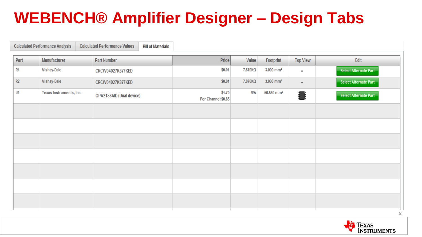# **WEBENCH® Amplifier Designer – Design Tabs**

|      | <b>Calculated Performance Analysis</b> | <b>Calculated Performance Values</b><br><b>Bill of Materials</b> |                              |         |                         |                 |                              |
|------|----------------------------------------|------------------------------------------------------------------|------------------------------|---------|-------------------------|-----------------|------------------------------|
| Part | Manufacturer                           | <b>Part Number</b>                                               | Price                        | Value   | Footprint               | <b>Top View</b> | Edit                         |
| R1   | Vishay-Dale                            | CRCW04027K87FKED                                                 | \$0.01                       | 7.870ΚΩ | $3.000$ mm <sup>2</sup> | $\blacksquare$  | <b>Select Alternate Part</b> |
| R2   | Vishay-Dale                            | CRCW04027K87FKED                                                 | \$0.01                       | 7.870ΚΩ | $3.000$ mm <sup>2</sup> | $\blacksquare$  | <b>Select Alternate Part</b> |
| U1   | Texas Instruments, Inc.                | OPA2188AID (Dual device)                                         | \$1.70<br>Per Channel:\$0.85 | N/A     | 56.580 mm <sup>2</sup>  | i,              | <b>Select Alternate Part</b> |
|      |                                        |                                                                  |                              |         |                         |                 |                              |
|      |                                        |                                                                  |                              |         |                         |                 |                              |
|      |                                        |                                                                  |                              |         |                         |                 |                              |
|      |                                        |                                                                  |                              |         |                         |                 |                              |
|      |                                        |                                                                  |                              |         |                         |                 |                              |
|      |                                        |                                                                  |                              |         |                         |                 |                              |
|      |                                        |                                                                  |                              |         |                         |                 |                              |

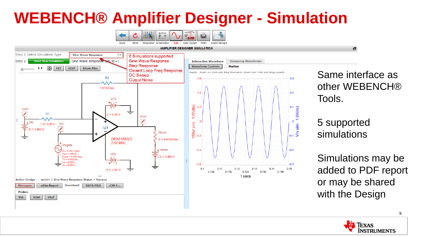#### **WEBENCH® Amplifier Designer - Simulation**



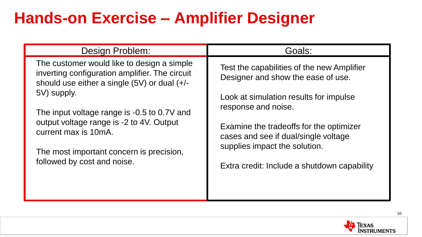# **Hands-on Exercise – Amplifier Designer**

| Design Problem:                                                                                                                                                                                                                                                                                                                                                | Goals:                                                                                                                                                                                                                                                                                                               |
|----------------------------------------------------------------------------------------------------------------------------------------------------------------------------------------------------------------------------------------------------------------------------------------------------------------------------------------------------------------|----------------------------------------------------------------------------------------------------------------------------------------------------------------------------------------------------------------------------------------------------------------------------------------------------------------------|
| The customer would like to design a simple<br>inverting configuration amplifier. The circuit<br>should use either a single $(5V)$ or dual $(+/-)$<br>5V) supply.<br>The input voltage range is -0.5 to 0.7V and<br>output voltage range is -2 to 4V. Output<br>current max is 10mA.<br>The most important concern is precision,<br>followed by cost and noise. | Test the capabilities of the new Amplifier<br>Designer and show the ease of use.<br>Look at simulation results for impulse<br>response and noise.<br>Examine the tradeoffs for the optimizer<br>cases and see if dual/single voltage<br>supplies impact the solution.<br>Extra credit: Include a shutdown capability |

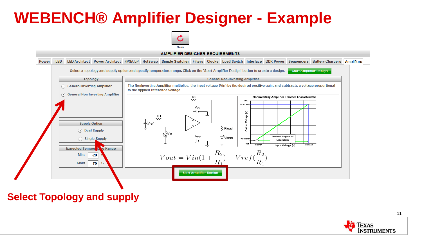

**AMPLIFIER DESIGNER REQUIREMENTS** 



**Select Topology and supply**

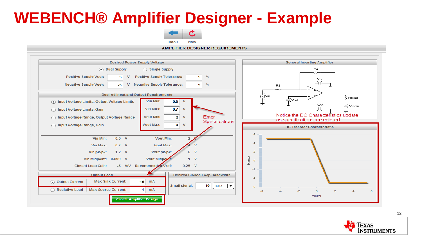

**AMPLIFIER DESIGNER REQUIREMENTS** 

| <b>Desired Power Supply Voltage</b>                                                                                                                                                                                                                                                                                                                                                                                                                                                                                                                                                                                      | <b>General Inverting Amplifier</b>                                                                                                                    |  |  |  |  |  |
|--------------------------------------------------------------------------------------------------------------------------------------------------------------------------------------------------------------------------------------------------------------------------------------------------------------------------------------------------------------------------------------------------------------------------------------------------------------------------------------------------------------------------------------------------------------------------------------------------------------------------|-------------------------------------------------------------------------------------------------------------------------------------------------------|--|--|--|--|--|
| (a) Dual Supply<br>Single Supply<br><b>Positive Supply(Vcc):</b><br><b>Positive Supply Tolerance:</b><br>%<br>5<br>5<br>v<br><b>Negative Supply(Vee):</b><br><b>Negative Supply Tolerance:</b><br>v<br>%<br>-5<br>5                                                                                                                                                                                                                                                                                                                                                                                                      | R <sub>2</sub><br>Vcc<br>R1                                                                                                                           |  |  |  |  |  |
| <b>Desired Input and Output Requirements</b>                                                                                                                                                                                                                                                                                                                                                                                                                                                                                                                                                                             | $\ddot{\odot}^{\text{Vin}}$<br>Rload                                                                                                                  |  |  |  |  |  |
| Vin Min:<br>$\mathbf{V}$<br>$-0.5$<br>(.) Input Voltage Limits, Output Voltage Limits                                                                                                                                                                                                                                                                                                                                                                                                                                                                                                                                    | ≡ Vref<br>Vee<br>≡ Vterm                                                                                                                              |  |  |  |  |  |
| Vin Max:<br>0.7<br>$\mathsf{v}$<br>nput Voltage Limits, Gain                                                                                                                                                                                                                                                                                                                                                                                                                                                                                                                                                             |                                                                                                                                                       |  |  |  |  |  |
| Enter<br><b>Vout Min:</b><br>v<br>$-2$<br>nput Voltage Range, Output Voltage Range<br>Specifications                                                                                                                                                                                                                                                                                                                                                                                                                                                                                                                     | Notice the DC Characteristics update<br>as specifications are entered                                                                                 |  |  |  |  |  |
| <b>Vout Max:</b><br>v<br>Input Voltage Range, Gain<br>4                                                                                                                                                                                                                                                                                                                                                                                                                                                                                                                                                                  | <b>DC Transfer Characteristic</b>                                                                                                                     |  |  |  |  |  |
| $-0.5$ V<br><b>Vout Min:</b><br>Vin Min:<br>$\overline{\mathbf{z}}$<br><b>Vout Max:</b><br>Vin Max:<br>$0.7$ V<br>$1.2 \quad V$<br>Vout pk-pk:<br>$\mathbf v$<br>Vin pk-pk:<br><b>Vout Midpoint</b><br>Vin Midpoint: 0.099 V<br>$\mathbf v$<br>-5 V/V Recommended Vref:<br>$0.25$ V<br><b>Closed Loop Gain:</b><br>Output Load<br><b>Desired Closed Loop Bandwidth</b><br><b>Max Sink Current:</b><br>10 <sup>1</sup><br>mA<br>(•) Output Current<br><b>Small signal:</b><br>10 <sup>1</sup><br>kHz<br>$\mathbf{r}$<br><b>Max Source Current:</b><br><b>Resistive Load</b><br>mA<br>1.<br><b>Create Amplifier Design</b> | $\boldsymbol{A}$<br>$\overline{2}$<br>VoutV)<br>$\Omega$<br>$-2$<br>$-4$<br>-6<br>$-2$<br>$\mathbf{o}$<br>$\overline{2}$<br>-A<br>$-4$<br>6<br>Vin(V) |  |  |  |  |  |

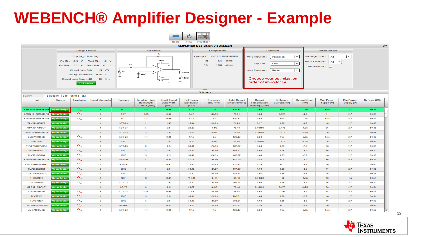

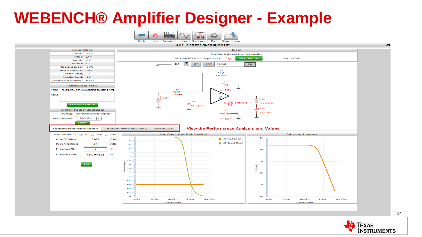







e.